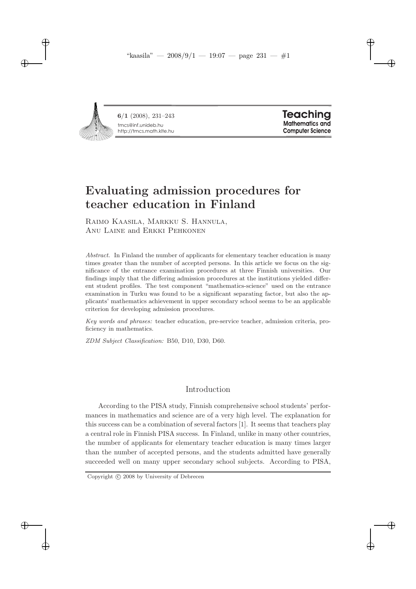"kaasila" — 2008/9/1 — 19:07 — page 231 — #1

tmcs@inf.unideb.hu http://tmcs.math.klte.hu 6/1 (2008), 231–243

 $\rightarrow$ 

✐

✐

✐

**Teaching Mathematics and Computer Science**  ✐

✐

✐

✐

# Evaluating admission procedures for teacher education in Finland

Raimo Kaasila, Markku S. Hannula, Anu Laine and Erkki Pehkonen

*Abstract.* In Finland the number of applicants for elementary teacher education is many times greater than the number of accepted persons. In this article we focus on the significance of the entrance examination procedures at three Finnish universities. Our findings imply that the differing admission procedures at the institutions yielded different student profiles. The test component "mathematics-science" used on the entrance examination in Turku was found to be a significant separating factor, but also the applicants' mathematics achievement in upper secondary school seems to be an applicable criterion for developing admission procedures.

*Key words and phrases:* teacher education, pre-service teacher, admission criteria, proficiency in mathematics.

*ZDM Subject Classification:* B50, D10, D30, D60.

# Introduction

According to the PISA study, Finnish comprehensive school students' performances in mathematics and science are of a very high level. The explanation for this success can be a combination of several factors [1]. It seems that teachers play a central role in Finnish PISA success. In Finland, unlike in many other countries, the number of applicants for elementary teacher education is many times larger than the number of accepted persons, and the students admitted have generally succeeded well on many upper secondary school subjects. According to PISA,

Copyright  $\odot$  2008 by University of Debrecen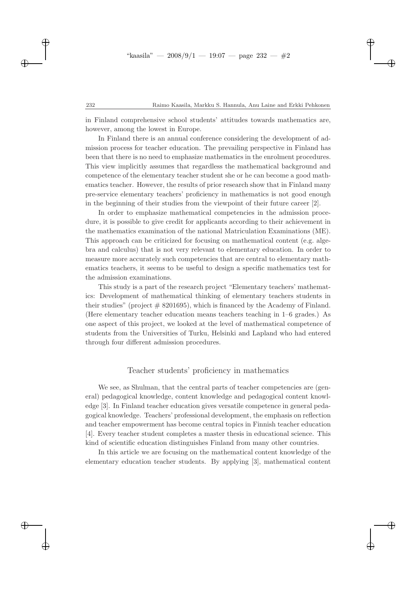#### 232 Raimo Kaasila, Markku S. Hannula, Anu Laine and Erkki Pehkonen

✐

✐

✐

✐

in Finland comprehensive school students' attitudes towards mathematics are, however, among the lowest in Europe.

In Finland there is an annual conference considering the development of admission process for teacher education. The prevailing perspective in Finland has been that there is no need to emphasize mathematics in the enrolment procedures. This view implicitly assumes that regardless the mathematical background and competence of the elementary teacher student she or he can become a good mathematics teacher. However, the results of prior research show that in Finland many pre-service elementary teachers' proficiency in mathematics is not good enough in the beginning of their studies from the viewpoint of their future career [2].

In order to emphasize mathematical competencies in the admission procedure, it is possible to give credit for applicants according to their achievement in the mathematics examination of the national Matriculation Examinations (ME). This approach can be criticized for focusing on mathematical content (e.g. algebra and calculus) that is not very relevant to elementary education. In order to measure more accurately such competencies that are central to elementary mathematics teachers, it seems to be useful to design a specific mathematics test for the admission examinations.

This study is a part of the research project "Elementary teachers' mathematics: Development of mathematical thinking of elementary teachers students in their studies" (project  $\#$  8201695), which is financed by the Academy of Finland. (Here elementary teacher education means teachers teaching in 1–6 grades.) As one aspect of this project, we looked at the level of mathematical competence of students from the Universities of Turku, Helsinki and Lapland who had entered through four different admission procedures.

# Teacher students' proficiency in mathematics

We see, as Shulman, that the central parts of teacher competencies are (general) pedagogical knowledge, content knowledge and pedagogical content knowledge [3]. In Finland teacher education gives versatile competence in general pedagogical knowledge. Teachers' professional development, the emphasis on reflection and teacher empowerment has become central topics in Finnish teacher education [4]. Every teacher student completes a master thesis in educational science. This kind of scientific education distinguishes Finland from many other countries.

In this article we are focusing on the mathematical content knowledge of the elementary education teacher students. By applying [3], mathematical content

 $\rightarrow$ 

✐

✐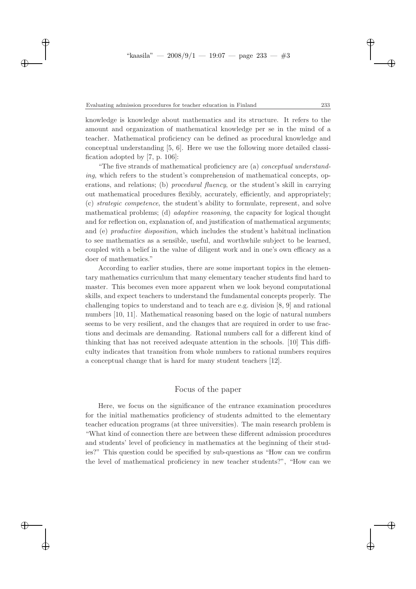$\rightarrow$ 

✐

✐

✐

knowledge is knowledge about mathematics and its structure. It refers to the amount and organization of mathematical knowledge per se in the mind of a teacher. Mathematical proficiency can be defined as procedural knowledge and conceptual understanding [5, 6]. Here we use the following more detailed classification adopted by [7, p. 106]:

"The five strands of mathematical proficiency are (a) conceptual understanding, which refers to the student's comprehension of mathematical concepts, operations, and relations; (b) procedural fluency, or the student's skill in carrying out mathematical procedures flexibly, accurately, efficiently, and appropriately; (c) strategic competence, the student's ability to formulate, represent, and solve mathematical problems; (d) adaptive reasoning, the capacity for logical thought and for reflection on, explanation of, and justification of mathematical arguments; and (e) productive disposition, which includes the student's habitual inclination to see mathematics as a sensible, useful, and worthwhile subject to be learned, coupled with a belief in the value of diligent work and in one's own efficacy as a doer of mathematics."

According to earlier studies, there are some important topics in the elementary mathematics curriculum that many elementary teacher students find hard to master. This becomes even more apparent when we look beyond computational skills, and expect teachers to understand the fundamental concepts properly. The challenging topics to understand and to teach are e.g. division [8, 9] and rational numbers [10, 11]. Mathematical reasoning based on the logic of natural numbers seems to be very resilient, and the changes that are required in order to use fractions and decimals are demanding. Rational numbers call for a different kind of thinking that has not received adequate attention in the schools. [10] This difficulty indicates that transition from whole numbers to rational numbers requires a conceptual change that is hard for many student teachers [12].

# Focus of the paper

Here, we focus on the significance of the entrance examination procedures for the initial mathematics proficiency of students admitted to the elementary teacher education programs (at three universities). The main research problem is "What kind of connection there are between these different admission procedures and students' level of proficiency in mathematics at the beginning of their studies?" This question could be specified by sub-questions as "How can we confirm the level of mathematical proficiency in new teacher students?", "How can we

✐

✐

✐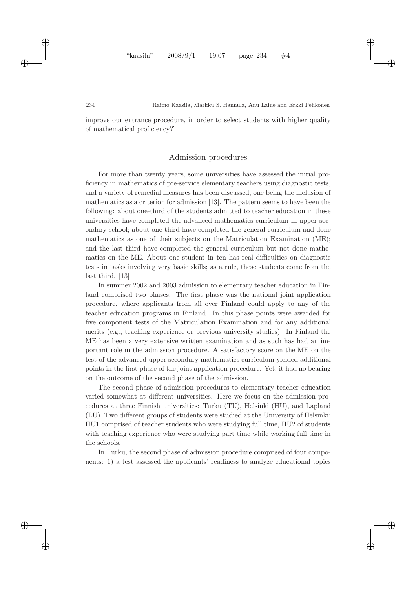✐

✐

✐

✐

improve our entrance procedure, in order to select students with higher quality of mathematical proficiency?"

# Admission procedures

For more than twenty years, some universities have assessed the initial proficiency in mathematics of pre-service elementary teachers using diagnostic tests, and a variety of remedial measures has been discussed, one being the inclusion of mathematics as a criterion for admission [13]. The pattern seems to have been the following: about one-third of the students admitted to teacher education in these universities have completed the advanced mathematics curriculum in upper secondary school; about one-third have completed the general curriculum and done mathematics as one of their subjects on the Matriculation Examination (ME); and the last third have completed the general curriculum but not done mathematics on the ME. About one student in ten has real difficulties on diagnostic tests in tasks involving very basic skills; as a rule, these students come from the last third. [13]

In summer 2002 and 2003 admission to elementary teacher education in Finland comprised two phases. The first phase was the national joint application procedure, where applicants from all over Finland could apply to any of the teacher education programs in Finland. In this phase points were awarded for five component tests of the Matriculation Examination and for any additional merits (e.g., teaching experience or previous university studies). In Finland the ME has been a very extensive written examination and as such has had an important role in the admission procedure. A satisfactory score on the ME on the test of the advanced upper secondary mathematics curriculum yielded additional points in the first phase of the joint application procedure. Yet, it had no bearing on the outcome of the second phase of the admission.

The second phase of admission procedures to elementary teacher education varied somewhat at different universities. Here we focus on the admission procedures at three Finnish universities: Turku (TU), Helsinki (HU), and Lapland (LU). Two different groups of students were studied at the University of Helsinki: HU1 comprised of teacher students who were studying full time, HU2 of students with teaching experience who were studying part time while working full time in the schools.

In Turku, the second phase of admission procedure comprised of four components: 1) a test assessed the applicants' readiness to analyze educational topics

 $\rightarrow$ 

✐

✐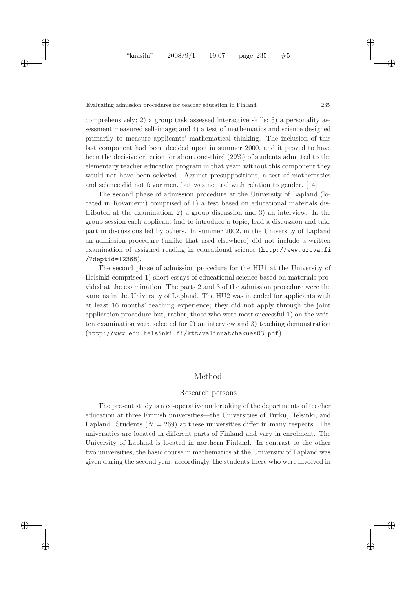$\rightarrow$ 

✐

✐

✐

comprehensively; 2) a group task assessed interactive skills; 3) a personality assessment measured self-image; and 4) a test of mathematics and science designed primarily to measure applicants' mathematical thinking. The inclusion of this last component had been decided upon in summer 2000, and it proved to have been the decisive criterion for about one-third (29%) of students admitted to the elementary teacher education program in that year: without this component they would not have been selected. Against presuppositions, a test of mathematics and science did not favor men, but was neutral with relation to gender. [14]

The second phase of admission procedure at the University of Lapland (located in Rovaniemi) comprised of 1) a test based on educational materials distributed at the examination, 2) a group discussion and 3) an interview. In the group session each applicant had to introduce a topic, lead a discussion and take part in discussions led by others. In summer 2002, in the University of Lapland an admission procedure (unlike that used elsewhere) did not include a written examination of assigned reading in educational science (http://www.urova.fi /?deptid=12368).

The second phase of admission procedure for the HU1 at the University of Helsinki comprised 1) short essays of educational science based on materials provided at the examination. The parts 2 and 3 of the admission procedure were the same as in the University of Lapland. The HU2 was intended for applicants with at least 16 months' teaching experience; they did not apply through the joint application procedure but, rather, those who were most successful 1) on the written examination were selected for 2) an interview and 3) teaching demonstration (http://www.edu.helsinki.fi/ktt/valinnat/hakues03.pdf).

# Method

### Research persons

The present study is a co-operative undertaking of the departments of teacher education at three Finnish universities—the Universities of Turku, Helsinki, and Lapland. Students ( $N = 269$ ) at these universities differ in many respects. The universities are located in different parts of Finland and vary in enrolment. The University of Lapland is located in northern Finland. In contrast to the other two universities, the basic course in mathematics at the University of Lapland was given during the second year; accordingly, the students there who were involved in

✐

✐

✐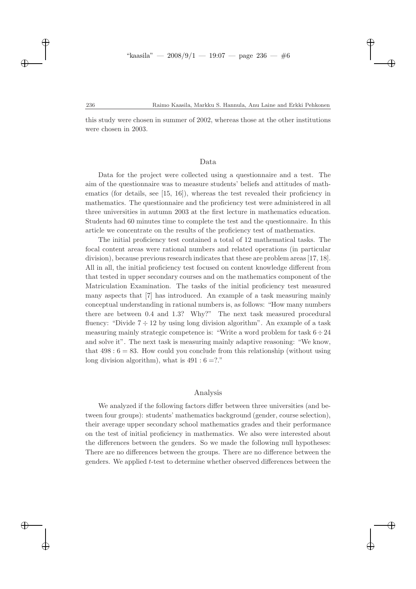✐

✐

✐

✐

this study were chosen in summer of 2002, whereas those at the other institutions were chosen in 2003.

# Data

Data for the project were collected using a questionnaire and a test. The aim of the questionnaire was to measure students' beliefs and attitudes of mathematics (for details, see [15, 16]), whereas the test revealed their proficiency in mathematics. The questionnaire and the proficiency test were administered in all three universities in autumn 2003 at the first lecture in mathematics education. Students had 60 minutes time to complete the test and the questionnaire. In this article we concentrate on the results of the proficiency test of mathematics.

The initial proficiency test contained a total of 12 mathematical tasks. The focal content areas were rational numbers and related operations (in particular division), because previous research indicates that these are problem areas [17, 18]. All in all, the initial proficiency test focused on content knowledge different from that tested in upper secondary courses and on the mathematics component of the Matriculation Examination. The tasks of the initial proficiency test measured many aspects that [7] has introduced. An example of a task measuring mainly conceptual understanding in rational numbers is, as follows: "How many numbers there are between 0.4 and 1.3? Why?" The next task measured procedural fluency: "Divide  $7 \div 12$  by using long division algorithm". An example of a task measuring mainly strategic competence is: "Write a word problem for task  $6 \div 24$ and solve it". The next task is measuring mainly adaptive reasoning: "We know, that  $498:6 = 83$ . How could you conclude from this relationship (without using long division algorithm), what is  $491 : 6 = ?."$ 

### Analysis

We analyzed if the following factors differ between three universities (and between four groups): students' mathematics background (gender, course selection), their average upper secondary school mathematics grades and their performance on the test of initial proficiency in mathematics. We also were interested about the differences between the genders. So we made the following null hypotheses: There are no differences between the groups. There are no difference between the genders. We applied t-test to determine whether observed differences between the

 $\rightarrow$ 

✐

✐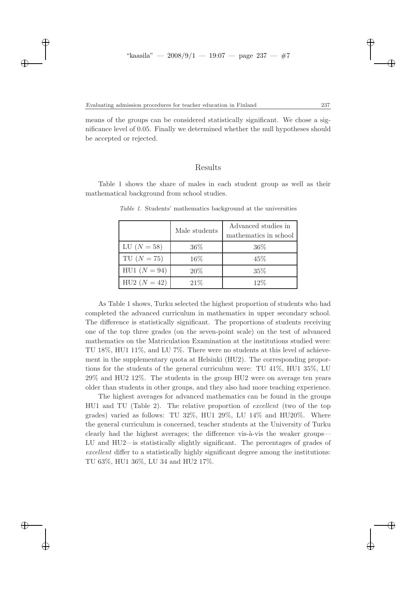$\rightarrow$ 

✐

✐

✐

means of the groups can be considered statistically significant. We chose a significance level of 0.05. Finally we determined whether the null hypotheses should be accepted or rejected.

# Results

Table 1 shows the share of males in each student group as well as their mathematical background from school studies.

|                | Male students | Advanced studies in<br>mathematics in school |
|----------------|---------------|----------------------------------------------|
| LU $(N = 58)$  | 36%           | 36%                                          |
| $TU(N = 75)$   | $16\%$        | 45%                                          |
| $HUI (N = 94)$ | 20%           | 35%                                          |
| $HU2(N = 42)$  | 21\%          | 12%                                          |

*Table 1.* Students' mathematics background at the universities

As Table 1 shows, Turku selected the highest proportion of students who had completed the advanced curriculum in mathematics in upper secondary school. The difference is statistically significant. The proportions of students receiving one of the top three grades (on the seven-point scale) on the test of advanced mathematics on the Matriculation Examination at the institutions studied were: TU 18%, HU1 11%, and LU 7%. There were no students at this level of achievement in the supplementary quota at Helsinki (HU2). The corresponding proportions for the students of the general curriculum were: TU 41%, HU1 35%, LU 29% and HU2 12%. The students in the group HU2 were on average ten years older than students in other groups, and they also had more teaching experience.

The highest averages for advanced mathematics can be found in the groups HU1 and TU (Table 2). The relative proportion of excellent (two of the top grades) varied as follows: TU 32%, HU1 29%, LU 14% and HU20%. Where the general curriculum is concerned, teacher students at the University of Turku clearly had the highest averages; the difference vis- $\grave{a}$ -vis the weaker groups— LU and HU2—is statistically slightly significant. The percentages of grades of excellent differ to a statistically highly significant degree among the institutions: TU 63%, HU1 36%, LU 34 and HU2 17%.

✐

✐

✐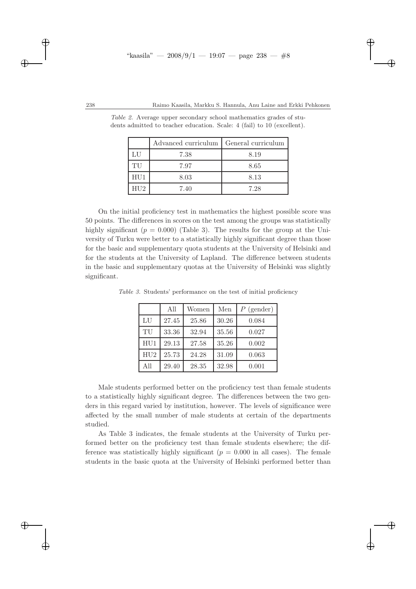#### 238 Raimo Kaasila, Markku S. Hannula, Anu Laine and Erkki Pehkonen

✐

✐

✐

✐

|     | Advanced curriculum   General curriculum |      |
|-----|------------------------------------------|------|
| LU  | 7.38                                     | 8.19 |
| TU  | 7.97                                     | 8.65 |
| HUI | 8.03                                     | 8.13 |
| HU2 | 7.40                                     | 7.28 |

*Table 2.* Average upper secondary school mathematics grades of students admitted to teacher education. Scale: 4 (fail) to 10 (excellent).

On the initial proficiency test in mathematics the highest possible score was 50 points. The differences in scores on the test among the groups was statistically highly significant ( $p = 0.000$ ) (Table 3). The results for the group at the University of Turku were better to a statistically highly significant degree than those for the basic and supplementary quota students at the University of Helsinki and for the students at the University of Lapland. The difference between students in the basic and supplementary quotas at the University of Helsinki was slightly significant.

|                 | All   | Women | Men   | $P$ (gender) |
|-----------------|-------|-------|-------|--------------|
| LU              | 27.45 | 25.86 | 30.26 | 0.084        |
| TU              | 33.36 | 32.94 | 35.56 | 0.027        |
| HU <sub>1</sub> | 29.13 | 27.58 | 35.26 | 0.002        |
| HU2             | 25.73 | 24.28 | 31.09 | 0.063        |
| A11             | 29.40 | 28.35 | 32.98 | 0.001        |

*Table 3.* Students' performance on the test of initial proficiency

Male students performed better on the proficiency test than female students to a statistically highly significant degree. The differences between the two genders in this regard varied by institution, however. The levels of significance were affected by the small number of male students at certain of the departments studied.

As Table 3 indicates, the female students at the University of Turku performed better on the proficiency test than female students elsewhere; the difference was statistically highly significant ( $p = 0.000$  in all cases). The female students in the basic quota at the University of Helsinki performed better than

 $\rightarrow$ 

✐

✐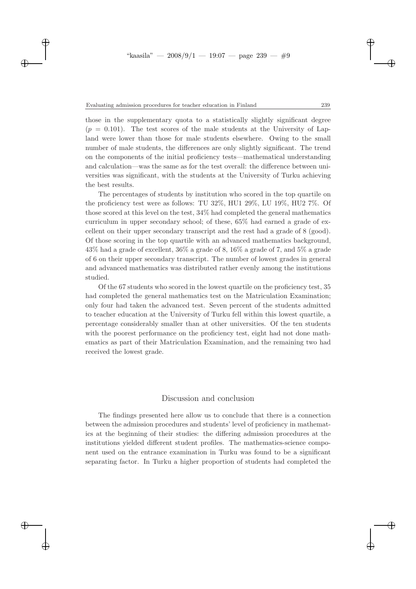$\rightarrow$ 

✐

✐

✐

those in the supplementary quota to a statistically slightly significant degree  $(p = 0.101)$ . The test scores of the male students at the University of Lapland were lower than those for male students elsewhere. Owing to the small number of male students, the differences are only slightly significant. The trend on the components of the initial proficiency tests—mathematical understanding and calculation—was the same as for the test overall: the difference between universities was significant, with the students at the University of Turku achieving the best results.

The percentages of students by institution who scored in the top quartile on the proficiency test were as follows: TU 32%, HU1 29%, LU 19%, HU2 7%. Of those scored at this level on the test, 34% had completed the general mathematics curriculum in upper secondary school; of these, 65% had earned a grade of excellent on their upper secondary transcript and the rest had a grade of 8 (good). Of those scoring in the top quartile with an advanced mathematics background, 43% had a grade of excellent, 36% a grade of 8, 16% a grade of 7, and 5% a grade of 6 on their upper secondary transcript. The number of lowest grades in general and advanced mathematics was distributed rather evenly among the institutions studied.

Of the 67 students who scored in the lowest quartile on the proficiency test, 35 had completed the general mathematics test on the Matriculation Examination; only four had taken the advanced test. Seven percent of the students admitted to teacher education at the University of Turku fell within this lowest quartile, a percentage considerably smaller than at other universities. Of the ten students with the poorest performance on the proficiency test, eight had not done mathematics as part of their Matriculation Examination, and the remaining two had received the lowest grade.

## Discussion and conclusion

The findings presented here allow us to conclude that there is a connection between the admission procedures and students' level of proficiency in mathematics at the beginning of their studies: the differing admission procedures at the institutions yielded different student profiles. The mathematics-science component used on the entrance examination in Turku was found to be a significant separating factor. In Turku a higher proportion of students had completed the

✐

✐

✐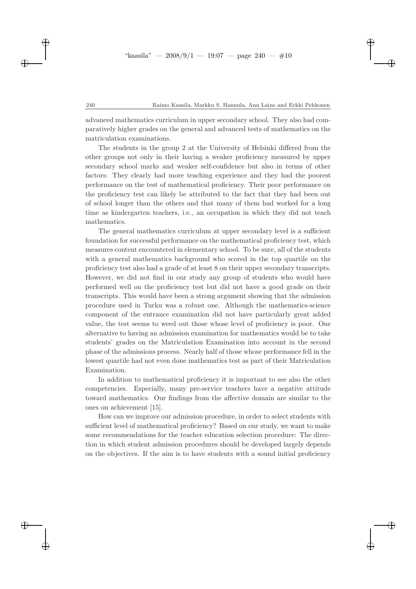#### 240 Raimo Kaasila, Markku S. Hannula, Anu Laine and Erkki Pehkonen

✐

✐

✐

✐

advanced mathematics curriculum in upper secondary school. They also had comparatively higher grades on the general and advanced tests of mathematics on the matriculation examinations.

The students in the group 2 at the University of Helsinki differed from the other groups not only in their having a weaker proficiency measured by upper secondary school marks and weaker self-confidence but also in terms of other factors: They clearly had more teaching experience and they had the poorest performance on the test of mathematical proficiency. Their poor performance on the proficiency test can likely be attributed to the fact that they had been out of school longer than the others and that many of them had worked for a long time as kindergarten teachers, i.e., an occupation in which they did not teach mathematics.

The general mathematics curriculum at upper secondary level is a sufficient foundation for successful performance on the mathematical proficiency test, which measures content encountered in elementary school. To be sure, all of the students with a general mathematics background who scored in the top quartile on the proficiency test also had a grade of at least 8 on their upper secondary transcripts. However, we did not find in our study any group of students who would have performed well on the proficiency test but did not have a good grade on their transcripts. This would have been a strong argument showing that the admission procedure used in Turku was a robust one. Although the mathematics-science component of the entrance examination did not have particularly great added value, the test seems to weed out those whose level of proficiency is poor. One alternative to having an admission examination for mathematics would be to take students' grades on the Matriculation Examination into account in the second phase of the admissions process. Nearly half of those whose performance fell in the lowest quartile had not even done mathematics test as part of their Matriculation Examination.

In addition to mathematical proficiency it is important to see also the other competencies. Especially, many pre-service teachers have a negative attitude toward mathematics. Our findings from the affective domain are similar to the ones on achievement [15].

How can we improve our admission procedure, in order to select students with sufficient level of mathematical proficiency? Based on our study, we want to make some recommendations for the teacher education selection procedure: The direction in which student admission procedures should be developed largely depends on the objectives. If the aim is to have students with a sound initial proficiency

 $\rightarrow$ 

✐

✐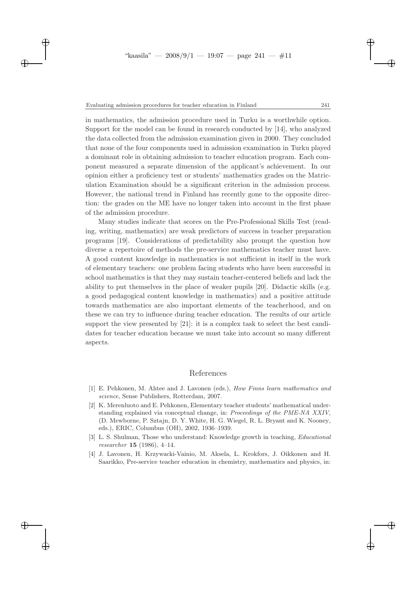$\rightarrow$ 

✐

✐

✐

in mathematics, the admission procedure used in Turku is a worthwhile option. Support for the model can be found in research conducted by [14], who analyzed the data collected from the admission examination given in 2000. They concluded that none of the four components used in admission examination in Turku played a dominant role in obtaining admission to teacher education program. Each component measured a separate dimension of the applicant's achievement. In our opinion either a proficiency test or students' mathematics grades on the Matriculation Examination should be a significant criterion in the admission process. However, the national trend in Finland has recently gone to the opposite direction: the grades on the ME have no longer taken into account in the first phase of the admission procedure.

Many studies indicate that scores on the Pre-Professional Skills Test (reading, writing, mathematics) are weak predictors of success in teacher preparation programs [19]. Considerations of predictability also prompt the question how diverse a repertoire of methods the pre-service mathematics teacher must have. A good content knowledge in mathematics is not sufficient in itself in the work of elementary teachers: one problem facing students who have been successful in school mathematics is that they may sustain teacher-centered beliefs and lack the ability to put themselves in the place of weaker pupils [20]. Didactic skills (e.g. a good pedagogical content knowledge in mathematics) and a positive attitude towards mathematics are also important elements of the teacherhood, and on these we can try to influence during teacher education. The results of our article support the view presented by [21]: it is a complex task to select the best candidates for teacher education because we must take into account so many different aspects.

# References

- [1] E. Pehkonen, M. Ahtee and J. Lavonen (eds.), *How Finns learn mathematics and science*, Sense Publishers, Rotterdam, 2007.
- [2] K. Merenluoto and E. Pehkonen, Elementary teacher students' mathematical understanding explained via conceptual change, in: *Proceedings of the PME-NA XXIV*, (D. Mewborne, P. Sztajn, D. Y. White, H. G. Wiegel, R. L. Bryant and K. Nooney, eds.), ERIC, Columbus (OH), 2002, 1936–1939.
- [3] L. S. Shulman, Those who understand: Knowledge growth in teaching, *Educational researcher* 15 (1986), 4–14.
- [4] J. Lavonen, H. Krzywacki-Vainio, M. Aksela, L. Krokfors, J. Oikkonen and H. Saarikko, Pre-service teacher education in chemistry, mathematics and physics, in:

✐

✐

✐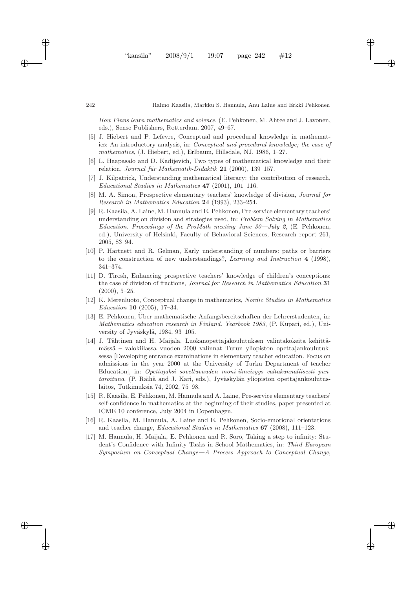✐

✐

✐

✐

*How Finns learn mathematics and science*, (E. Pehkonen, M. Ahtee and J. Lavonen, eds.), Sense Publishers, Rotterdam, 2007, 49–67.

- [5] J. Hiebert and P. Lefevre, Conceptual and procedural knowledge in mathematics: An introductory analysis, in: *Conceptual and procedural knowledge; the case of mathematics*, (J. Hiebert, ed.), Erlbaum, Hillsdale, NJ, 1986, 1–27.
- [6] L. Haapasalo and D. Kadijevich, Two types of mathematical knowledge and their relation, *Journal für Mathematik-Didaktik* 21 (2000), 139–157.
- [7] J. Kilpatrick, Understanding mathematical literacy: the contribution of research, *Educational Studies in Mathematics* 47 (2001), 101–116.
- [8] M. A. Simon, Prospective elementary teachers' knowledge of division, *Journal for Research in Mathematics Education* 24 (1993), 233–254.
- [9] R. Kaasila, A. Laine, M. Hannula and E. Pehkonen, Pre-service elementary teachers' understanding on division and strategies used, in: *Problem Solving in Mathematics Education. Proceedings of the ProMath meeting June 30—July 2*, (E. Pehkonen, ed.), University of Helsinki, Faculty of Behavioral Sciences, Research report 261, 2005, 83–94.
- [10] P. Hartnett and R. Gelman, Early understanding of numbers: paths or barriers to the construction of new understandings?, *Learning and Instruction* 4 (1998), 341–374.
- [11] D. Tirosh, Enhancing prospective teachers' knowledge of children's conceptions: the case of division of fractions, *Journal for Research in Mathematics Education* 31  $(2000), 5-25.$
- [12] K. Merenluoto, Conceptual change in mathematics, *Nordic Studies in Mathematics Education* 10 (2005), 17–34.
- [13] E. Pehkonen, Über mathematische Anfangsbereitschaften der Lehrerstudenten, in: *Mathematics education research in Finland. Yearbook 1983*, (P. Kupari, ed.), University of Jyväskylä, 1984, 93-105.
- [14] J. Tähtinen and H. Maijala, Luokanopettajakoulutuksen valintakokeita kehittämässä – valokiilassa vuoden 2000 valinnat Turun yliopiston opettajankoulutuksessa [Developing entrance examinations in elementary teacher education. Focus on admissions in the year 2000 at the University of Turku Department of teacher Education], in: *Opettajaksi soveltuvuuden moni-ilmeisyys valtakunnallisesti pun*taroituna, (P. Räihä and J. Kari, eds.), Jyväskylän yliopiston opettajankoulutuslaitos, Tutkimuksia 74, 2002, 75–98.
- [15] R. Kaasila, E. Pehkonen, M. Hannula and A. Laine, Pre-service elementary teachers' self-confidence in mathematics at the beginning of their studies, paper presented at ICME 10 conference, July 2004 in Copenhagen.
- [16] R. Kaasila, M. Hannula, A. Laine and E. Pehkonen, Socio-emotional orientations and teacher change, *Educational Studies in Mathematics* 67 (2008), 111–123.
- [17] M. Hannula, H. Maijala, E. Pehkonen and R. Soro, Taking a step to infinity: Student's Confidence with Infinity Tasks in School Mathematics, in: *Third European Symposium on Conceptual Change—A Process Approach to Conceptual Change*,

 $\rightarrow$ 

✐

✐